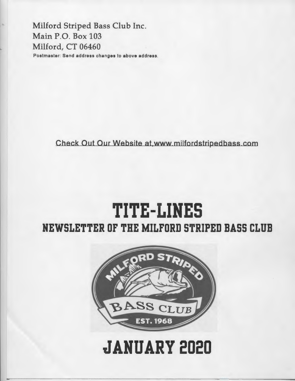Milford Striped Bass Club Inc. Main P.O. Box 103 Milford, CT 06460 Postmaster: Send address changes to above address.

Check Out Our Website at,www milfordstripedbass com

## **TITE-LINES NEWSLETTER OF THE MILFORD STRIPED BASS CLUB**



# **JANUARY 2020**  UANUAKI CUCU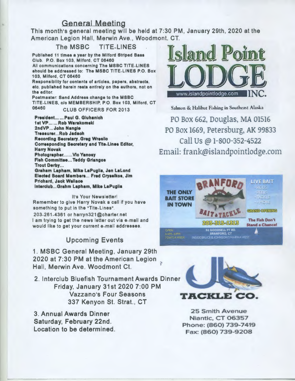### General Meeting

This month's general meeting will be held at 7:30 PM, January 29th, 2020 at the American Legion Hall, Merwin Ave., Woodmont. CT.<br>
The MSBC TITE-LINES<br> **Published 11 times a vest by the Milford Strings Ress** 

## The MSBC \_ TITE-LINES<br>Published 11 times a year by the Milford Striped Bass

Club. P.O. Box 103, Milford, CT 06460<br>All communications concerning The MSBC TITE-LINES ah communications concerning The MSBC TITE-LINES P.O. B 103, Milford, CT 06460<br>Responsibility for contents of articles, papers, abstracts, etc. published herein rests entirely on the authors. not on ~ ~ ~ the editor. INC Postmaster: Send Address change to the MSBC •

TITE-LINES, c/o MEMBERSHIP, P.O. Box 103, Milford, CT 06460 CLUB OFFICERS FOR 2013 Salmon & Halibut Fishing in Southeast Alaska

President... ... Paul G. Gluhanich 1at VP ...... Rob Warakomakl 2ndVP... John Nangie Treasurer... Rob Jadach Recording Secretary..Greg Wresilo Corresponding Secretary and Tite-Lines Editor, Harry Novak Photographer....... Vic Yanosy Fish Committee... Teddy Griangos Trout Derby... Graham Lapham, Mike LaPuglla, Jen LaLond Elected Board Members... Fred Cryssikos, Jim Prichard, Jack Wallace lnterclub ... Orahm Lapham, Mike LaPuglla

It's Your Newsletter! Remember to give Harry Novak a call if you have something to put in the "Tite-Lines".

203-261-4361 or harryn321 @charter. net I am trying to get the news letter out via e-mail and would like to get your current e-mail addresses .

#### Upcoming Events

1. MSBC General Meeting, January 29th 2020 at 7:30 PM at the American Legion Hall, Merwin Ave. Woodmont Ct.

2. lnterclub Bluefish Tournament Awards Dinner Friday, January 31st 2020 7:00 PM Vazzano's Four Seasons TACKLE CO. 337 Kenyon St. Strat., CT

3. Annual Awards Dinner Saturday, February 22nd. Location to be determined.



PO Box 662, Douglas, MA 01516 PO Box 1669. Petersburg, AK 99833 call Us@ 1-800-352-4522 Email: frank@islandpointlodge.com





25 Smith Avenue Niantic, CT 06357 Phone: (860) 739-7419 Fax: (860) 739-9208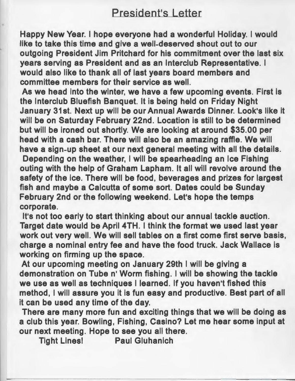## President's Letter

Happy New Year. I hope everyone had a wonderful Holiday. I would like to take this time and give a well-deserved shout out to our outgoing President Jim Pritchard for his commitment over the last six years serving as President and as an lnterclub Representative. I would also like to thank all of last years board members and committee members for their service as well.

As we head into the winter, we have a few upcoming events. First is the lnterclub Bluefish Banquet. It is being held on Friday Night January 31st. Next up will be our Annual Awards Dinner. Look's like it will be on Saturday February 22nd. Location is still to be determined but will be ironed out shortly. We are looking at around \$35.00 per head with a cash bar. There will also be an amazing raffle. We will have a sign-up sheet at our next general meeting with all the details.

Depending on the weather, I will be spearheading an Ice Fishing outing with the help of Graham Lapham. It all will revolve around the safety of the ice. There will be food, beverages and prizes for largest fish and maybe a Calcutta of some sort. Dates could be Sunday February 2nd or the following weekend. Let's hope the temps corporate.

It's not too early to start thinking about our annual tackle auction. Target date would be April 4TH. I think the format we used last year work out very well. We will sell tables on a first come first serve basis, charge a nominal entry fee and have the food truck. Jack Wallace is working on firming up the space.

At our upcoming meeting on January 29th I will be giving a demonstration on Tube n' Worm fishing. I will be showing the tackle we use as well as techniques I learned. If you haven't fished this method, I will assure you it is fun easy and productive. Best part of all it can be used any time of the day.

There are many more fun and exciting things that we will be doing as a club this year. Bowling, Fishing, Casino? Let me hear some input at our next meeting. Hope to see you all there.

Tight Linesl Paul Gluhanich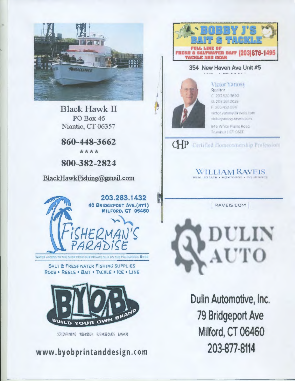

**Black Hawk II** PO Box 46 Niantic, CT 06357

860-448-3662 \*\*\*\*

800-382-2824

BlackHawkFishing@gmail.com



FROM OUR PRIVATE SILIP ON THE HOUSATONIC RIVER WATER AF

**SALT & FRESHWATER FISHING SUPPLIES** RODS . REELS . BAIT . TACKLE . ICE . LINE



SCREENRING WEBOESON BUSINESS CARS BANKERS

www.byobprintanddesign.com



#### 354 New Haven Ave Unit #5

**Victor Yanosy** Realtor. 0.203.520.5690 0.203.261.0028 F 203-452-0617 victor yanosy draveis com victoryanosy.raveis.com 945 White Plains Road Trumbull | CT 06611

CHP Certified Homeownership Profession:



RAVEIS COM



Dulin Automotive, Inc. 79 Bridgeport Ave Milford, CT 06460 203-877-8114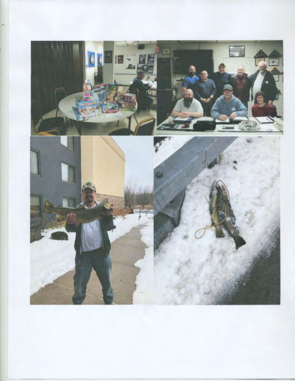